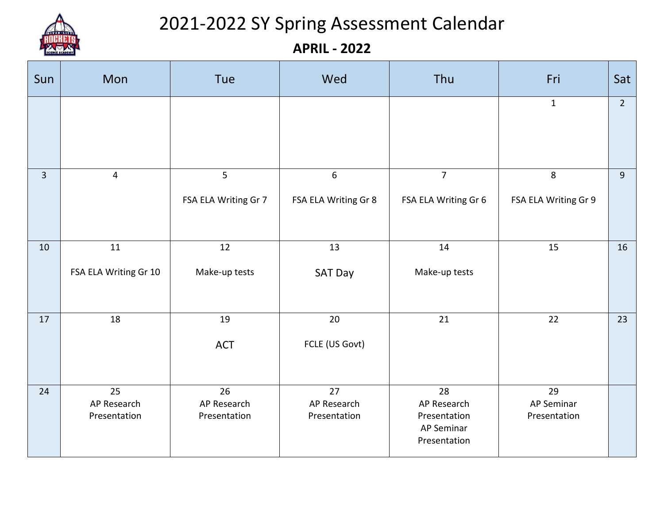

## 2021-2022 SY Spring Assessment Calendar

**APRIL - 2022**

| Sun            | Mon                               | Tue                               | Wed                               | Thu                                                             | Fri                              | Sat         |
|----------------|-----------------------------------|-----------------------------------|-----------------------------------|-----------------------------------------------------------------|----------------------------------|-------------|
|                |                                   |                                   |                                   |                                                                 | $\mathbf{1}$                     | $2^{\circ}$ |
| $\overline{3}$ | $\overline{4}$                    | 5<br>FSA ELA Writing Gr 7         | 6<br>FSA ELA Writing Gr 8         | $\overline{7}$<br>FSA ELA Writing Gr 6                          | 8<br>FSA ELA Writing Gr 9        | 9           |
| 10             | 11<br>FSA ELA Writing Gr 10       | 12<br>Make-up tests               | 13<br><b>SAT Day</b>              | 14<br>Make-up tests                                             | 15                               | 16          |
| 17             | 18                                | 19<br><b>ACT</b>                  | 20<br>FCLE (US Govt)              | 21                                                              | 22                               | 23          |
| 24             | 25<br>AP Research<br>Presentation | 26<br>AP Research<br>Presentation | 27<br>AP Research<br>Presentation | 28<br>AP Research<br>Presentation<br>AP Seminar<br>Presentation | 29<br>AP Seminar<br>Presentation |             |